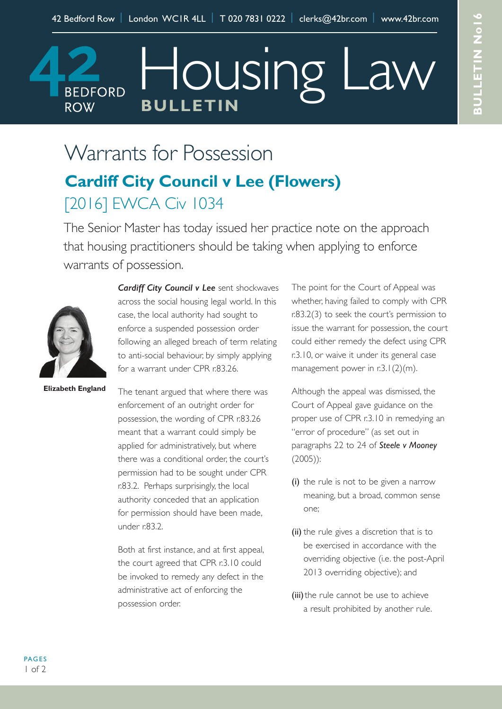## Housing I **BEDFORD BULLETIN ROW**

# Warrants for Possession

### **Cardiff City Council v Lee (Flowers)** [2016] EWCA Civ 1034

The Senior Master has today issued her practice note on the approach that housing practitioners should be taking when applying to enforce warrants of possession.



*Cardiff City Council v Lee* sent shockwaves across the social housing legal world. In this case, the local authority had sought to enforce a suspended possession order following an alleged breach of term relating to anti-social behaviour, by simply applying for a warrant under CPR r.83.26.

**Elizabeth England**

The tenant argued that where there was enforcement of an outright order for possession, the wording of CPR r.83.26 meant that a warrant could simply be applied for administratively, but where there was a conditional order, the court's permission had to be sought under CPR r.83.2. Perhaps surprisingly, the local authority conceded that an application for permission should have been made, under r.83.2.

Both at first instance, and at first appeal, the court agreed that CPR r.3.10 could be invoked to remedy any defect in the administrative act of enforcing the possession order.

The point for the Court of Appeal was whether, having failed to comply with CPR r.83.2(3) to seek the court's permission to issue the warrant for possession, the court could either remedy the defect using CPR r.3.10, or waive it under its general case management power in  $r \cdot 3.1(2)(m)$ .

Although the appeal was dismissed, the Court of Appeal gave guidance on the proper use of CPR r.3.10 in remedying an "error of procedure" (as set out in paragraphs 22 to 24 of *Steele v Mooney* (2005)):

- (i) the rule is not to be given a narrow meaning, but a broad, common sense one;
- (ii) the rule gives a discretion that is to be exercised in accordance with the overriding objective (i.e. the post-April 2013 overriding objective); and
- (iii) the rule cannot be use to achieve a result prohibited by another rule.

PAGES  $1 of 2$